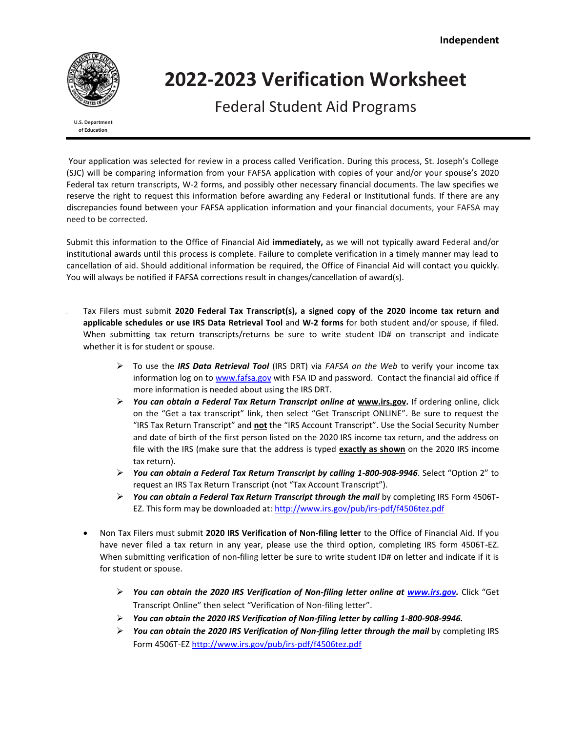

# **2022‐2023 Verification Worksheet**

Federal Student Aid Programs

**U.S. Department of Education**

Your application was selected for review in a process called Verification. During this process, St. Joseph's College (SJC) will be comparing information from your FAFSA application with copies of your and/or your spouse's 2020 Federal tax return transcripts, W-2 forms, and possibly other necessary financial documents. The law specifies we reserve the right to request this information before awarding any Federal or Institutional funds. If there are any discrepancies found between your FAFSA application information and your financial documents, your FAFSA may need to be corrected.

Submit this information to the Office of Financial Aid **immediately,** as we will not typically award Federal and/or institutional awards until this process is complete. Failure to complete verification in a timely manner may lead to cancellation of aid. Should additional information be required, the Office of Financial Aid will contact you quickly. You will always be notified if FAFSA corrections result in changes/cancellation of award(s).

- Tax Filers must submit **2020 Federal Tax Transcript(s), a signed copy of the 2020 income tax return and applicable schedules or use IRS Data Retrieval Tool** and **W-2 forms** for both student and/or spouse, if filed. When submitting tax return transcripts/returns be sure to write student ID# on transcript and indicate whether it is for student or spouse.
	- To use the *IRS Data Retrieval Tool* (IRS DRT) via *FAFSA on the Web* to verify your income tax information log on to [www.fafsa.gov](http://www.fafsa.gov/) with FSA ID and password. Contact the financial aid office if more information is needed about using the IRS DRT.
	- *You can obtain a Federal Tax Return Transcript online at* **[www.irs.gov.](http://www.irs.gov/)** If ordering online, click on the "Get a tax transcript" link, then select "Get Transcript ONLINE". Be sure to request the "IRS Tax Return Transcript" and **not** the "IRS Account Transcript". Use the Social Security Number and date of birth of the first person listed on the 2020 IRS income tax return, and the address on file with the IRS (make sure that the address is typed **exactly as shown** on the 2020 IRS income tax return).
	- *You can obtain a Federal Tax Return Transcript by calling 1-800-908-9946*. Select "Option 2" to request an IRS Tax Return Transcript (not "Tax Account Transcript").
	- *You can obtain a Federal Tax Return Transcript through the mail* by completing IRS Form 4506T-EZ. This form may be downloaded at:<http://www.irs.gov/pub/irs-pdf/f4506tez.pdf>
	- Non Tax Filers must submit **2020 IRS Verification of Non-filing letter** to the Office of Financial Aid. If you have never filed a tax return in any year, please use the third option, completing IRS form 4506T-EZ. When submitting verification of non-filing letter be sure to write student ID# on letter and indicate if it is for student or spouse.
		- *You can obtain the 2020 IRS Verification of Non-filing letter online at [www.irs.gov.](http://www.irs.gov/)* Click "Get Transcript Online" then select "Verification of Non-filing letter".
		- *You can obtain the 2020 IRS Verification of Non-filing letter by calling 1-800-908-9946.*
		- *You can obtain the 2020 IRS Verification of Non-filing letter through the mail* by completing IRS Form 4506T-E[Z http://www.irs.gov/pub/irs-pdf/f4506tez.pdf](http://www.irs.gov/pub/irs-pdf/f4506tez.pdf)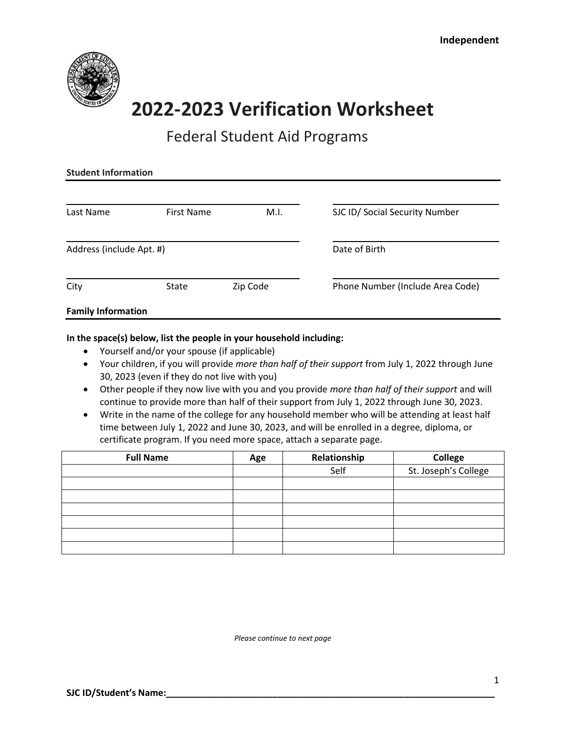

# **2022‐2023 Verification Worksheet**

### Federal Student Aid Programs

| <b>Student Information</b> |                   |          |                                  |  |  |  |
|----------------------------|-------------------|----------|----------------------------------|--|--|--|
| Last Name                  | <b>First Name</b> | M.I.     | SJC ID/ Social Security Number   |  |  |  |
| Address (include Apt. #)   |                   |          | Date of Birth                    |  |  |  |
| City                       | State             | Zip Code | Phone Number (Include Area Code) |  |  |  |
| <b>Family Information</b>  |                   |          |                                  |  |  |  |

### **In the space(s) below, list the people in your household including:**

- Yourself and/or your spouse (if applicable)
- Your children, if you will provide *more than half of their support* from July 1, 2022 through June 30, 2023 (even if they do not live with you)
- Other people if they now live with you and you provide *more than half of their support* and will continue to provide more than half of their support from July 1, 2022 through June 30, 2023.
- Write in the name of the college for any household member who will be attending at least half time between July 1, 2022 and June 30, 2023, and will be enrolled in a degree, diploma, or certificate program. If you need more space, attach a separate page.

| <b>Full Name</b> | Age | Relationship | <b>College</b>       |
|------------------|-----|--------------|----------------------|
|                  |     | Self         | St. Joseph's College |
|                  |     |              |                      |
|                  |     |              |                      |
|                  |     |              |                      |
|                  |     |              |                      |
|                  |     |              |                      |
|                  |     |              |                      |

*Please continue to next page*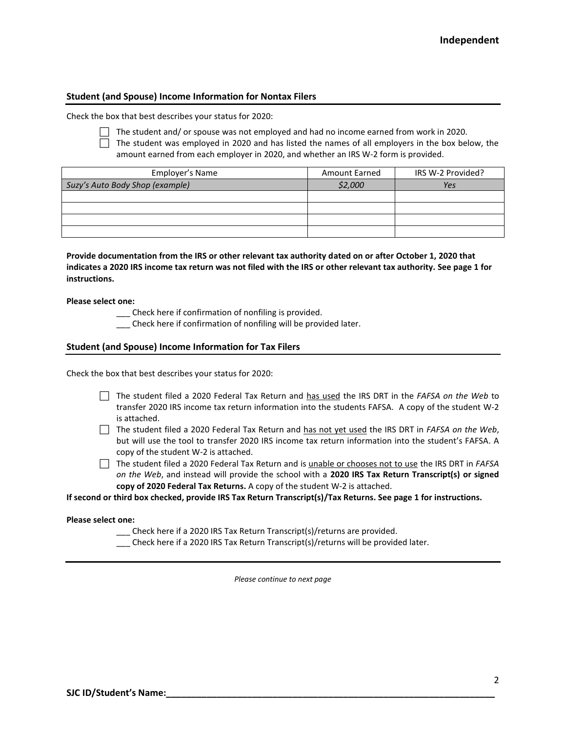#### **Student (and Spouse) Income Information for Nontax Filers**

Check the box that best describes your status for 2020:

The student and/ or spouse was not employed and had no income earned from work in 2020.

 $\Box$  The student was employed in 2020 and has listed the names of all employers in the box below, the amount earned from each employer in 2020, and whether an IRS W-2 form is provided.

| Employer's Name                 | <b>Amount Earned</b> | IRS W-2 Provided? |
|---------------------------------|----------------------|-------------------|
| Suzy's Auto Body Shop (example) | \$2,000              | Yes               |
|                                 |                      |                   |
|                                 |                      |                   |
|                                 |                      |                   |
|                                 |                      |                   |

**Provide documentation from the IRS or other relevant tax authority dated on or after October 1, 2020 that indicates a 2020 IRS income tax return was not filed with the IRS or other relevant tax authority. See page 1 for instructions.**

**Please select one:**

\_\_\_ Check here if confirmation of nonfiling is provided.

\_\_\_ Check here if confirmation of nonfiling will be provided later.

#### **Student (and Spouse) Income Information for Tax Filers**

Check the box that best describes your status for 2020:

- The student filed a 2020 Federal Tax Return and has used the IRS DRT in the *FAFSA on the Web* to transfer 2020 IRS income tax return information into the students FAFSA. A copy of the student W-2 is attached.
- The student filed a 2020 Federal Tax Return and has not yet used the IRS DRT in *FAFSA on the Web*, but will use the tool to transfer 2020 IRS income tax return information into the student's FAFSA. A copy of the student W-2 is attached.
- The student filed a 2020 Federal Tax Return and is unable or chooses not to use the IRS DRT in *FAFSA on the Web*, and instead will provide the school with a **2020 IRS Tax Return Transcript(s) or signed copy of 2020 Federal Tax Returns.** A copy of the student W-2 is attached.

**If second or third box checked, provide IRS Tax Return Transcript(s)/Tax Returns. See page 1 for instructions.**

**Please select one:**

\_\_\_ Check here if a 2020 IRS Tax Return Transcript(s)/returns are provided.

\_\_\_ Check here if a 2020 IRS Tax Return Transcript(s)/returns will be provided later.

*Please continue to next page*